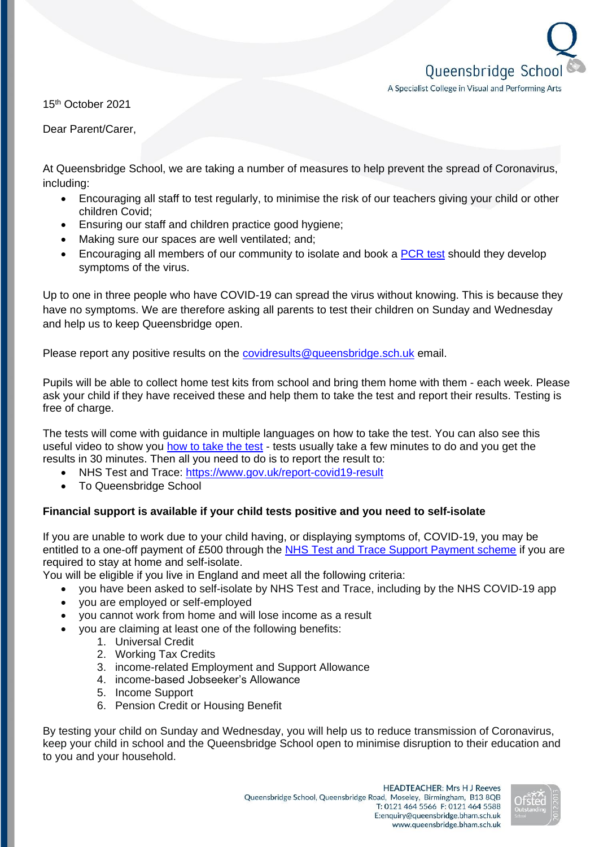Queensbridge Schoo A Specialist College in Visual and Performing Arts

15th October 2021

Dear Parent/Carer,

At Queensbridge School, we are taking a number of measures to help prevent the spread of Coronavirus, including:

- Encouraging all staff to test regularly, to minimise the risk of our teachers giving your child or other children Covid;
- Ensuring our staff and children practice good hygiene;
- Making sure our spaces are well ventilated; and:
- Encouraging all members of our community to isolate and book a [PCR test](https://www.gov.uk/get-coronavirus-test) should they develop symptoms of the virus.

Up to one in three people who have COVID-19 can spread the virus without knowing. This is because they have no symptoms. We are therefore asking all parents to test their children on Sunday and Wednesday and help us to keep Queensbridge open.

Please report any positive results on the [covidresults@queensbridge.sch.uk](mailto:covidresults@queensbridge.sch.uk) email.

Pupils will be able to collect home test kits from school and bring them home with them - each week. Please ask your child if they have received these and help them to take the test and report their results. Testing is free of charge.

The tests will come with guidance in multiple languages on how to take the test. You can also see this useful video to show you [how to take the test](https://www.gov.uk/guidance/covid-19-self-test-help) - tests usually take a few minutes to do and you get the results in 30 minutes. Then all you need to do is to report the result to:

- NHS Test and Trace:<https://www.gov.uk/report-covid19-result>
- To Queensbridge School

## **Financial support is available if your child tests positive and you need to self-isolate**

If you are unable to work due to your child having, or displaying symptoms of, COVID-19, you may be entitled to a one-off payment of £500 through the [NHS Test and Trace Support Payment scheme](https://www.gov.uk/government/publications/test-and-trace-support-payment-scheme-claiming-financial-support/claiming-financial-support-under-the-test-and-trace-support-payment-scheme) if you are required to stay at home and self-isolate.

You will be eligible if you live in England and meet all the following criteria:

- you have been asked to self-isolate by NHS Test and Trace, including by the NHS COVID-19 app
- you are employed or self-employed
- you cannot work from home and will lose income as a result
- you are claiming at least one of the following benefits:
	- 1. Universal Credit
	- 2. Working Tax Credits
	- 3. income-related Employment and Support Allowance
	- 4. income-based Jobseeker's Allowance
	- 5. Income Support
	- 6. Pension Credit or Housing Benefit

By testing your child on Sunday and Wednesday, you will help us to reduce transmission of Coronavirus, keep your child in school and the Queensbridge School open to minimise disruption to their education and to you and your household.